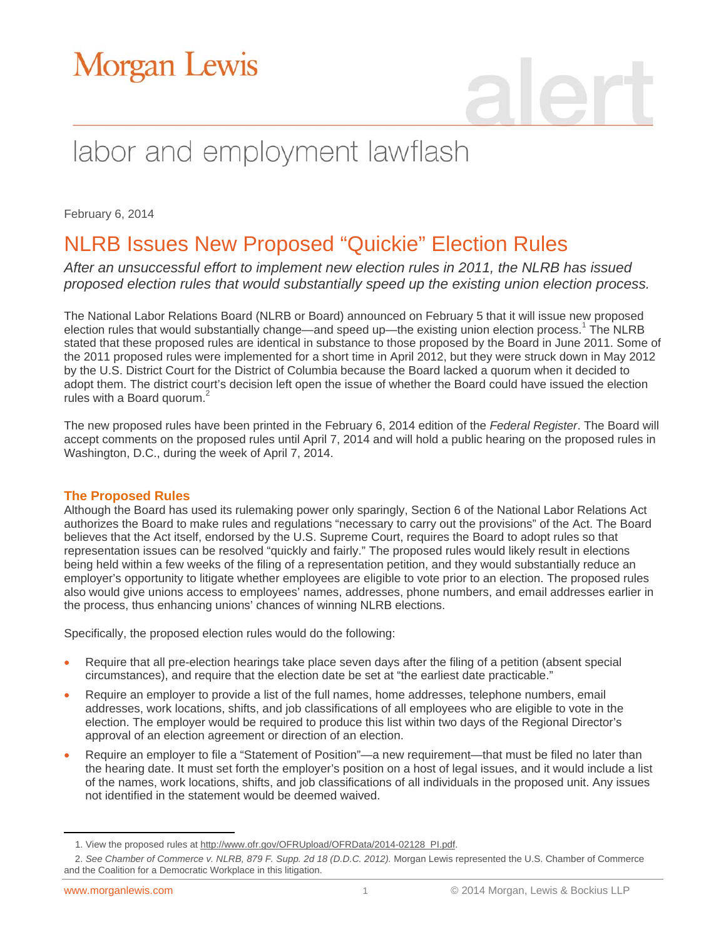# Morgan Lewis

# labor and employment lawflash

February 6, 2014

### NLRB Issues New Proposed "Quickie" Election Rules

*After an unsuccessful effort to implement new election rules in 2011, the NLRB has issued proposed election rules that would substantially speed up the existing union election process.* 

The National Labor Relations Board (NLRB or Board) announced on February 5 that it will issue new proposed election rules that would substantially change—and speed up—the existing union election process.<sup>1</sup> The NLRB stated that these proposed rules are identical in substance to those proposed by the Board in June 2011. Some of the 2011 proposed rules were implemented for a short time in April 2012, but they were struck down in May 2012 by the U.S. District Court for the District of Columbia because the Board lacked a quorum when it decided to adopt them. The district court's decision left open the issue of whether the Board could have issued the election rules with a Board quorum.<sup>2</sup>

The new proposed rules have been printed in the February 6, 2014 edition of the *Federal Register*. The Board will accept comments on the proposed rules until April 7, 2014 and will hold a public hearing on the proposed rules in Washington, D.C., during the week of April 7, 2014.

#### **The Proposed Rules**

Although the Board has used its rulemaking power only sparingly, Section 6 of the National Labor Relations Act authorizes the Board to make rules and regulations "necessary to carry out the provisions" of the Act. The Board believes that the Act itself, endorsed by the U.S. Supreme Court, requires the Board to adopt rules so that representation issues can be resolved "quickly and fairly." The proposed rules would likely result in elections being held within a few weeks of the filing of a representation petition, and they would substantially reduce an employer's opportunity to litigate whether employees are eligible to vote prior to an election. The proposed rules also would give unions access to employees' names, addresses, phone numbers, and email addresses earlier in the process, thus enhancing unions' chances of winning NLRB elections.

Specifically, the proposed election rules would do the following:

- Require that all pre-election hearings take place seven days after the filing of a petition (absent special circumstances), and require that the election date be set at "the earliest date practicable."
- Require an employer to provide a list of the full names, home addresses, telephone numbers, email addresses, work locations, shifts, and job classifications of all employees who are eligible to vote in the election. The employer would be required to produce this list within two days of the Regional Director's approval of an election agreement or direction of an election.
- Require an employer to file a "Statement of Position"—a new requirement—that must be filed no later than the hearing date. It must set forth the employer's position on a host of legal issues, and it would include a list of the names, work locations, shifts, and job classifications of all individuals in the proposed unit. Any issues not identified in the statement would be deemed waived.

 $\overline{a}$ 

<sup>1.</sup> View the proposed rules at [http://www.ofr.gov/OFRUpload/OFRData/2014-02128\\_PI.pdf.](http://www.ofr.gov/OFRUpload/OFRData/2014-02128_PI.pdf) 

<sup>2.</sup> See Chamber of Commerce v. NLRB, 879 F. Supp. 2d 18 (D.D.C. 2012). Morgan Lewis represented the U.S. Chamber of Commerce and the Coalition for a Democratic Workplace in this litigation.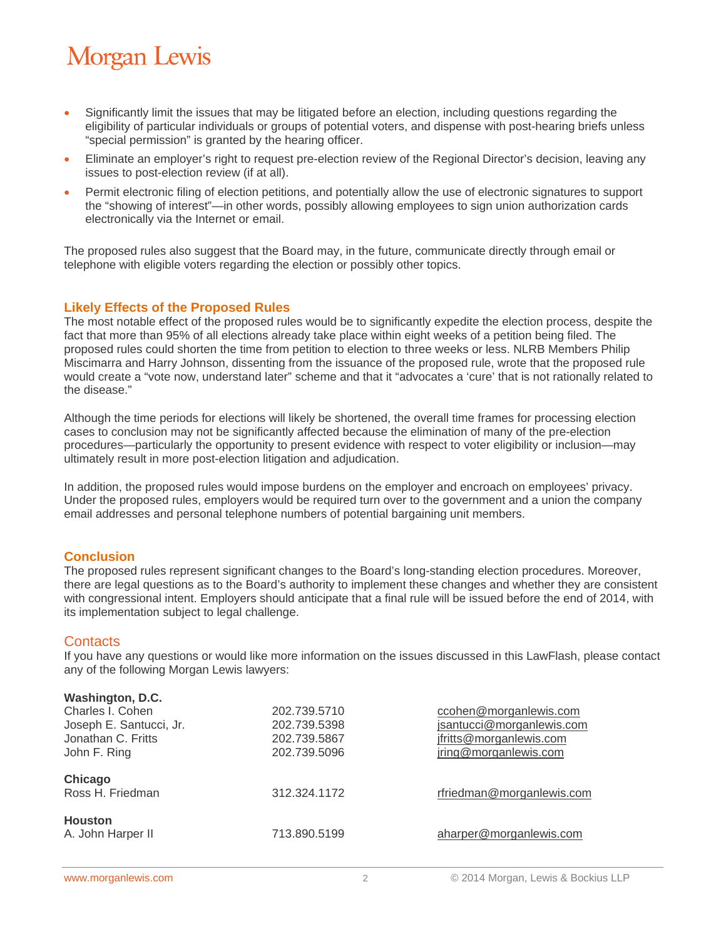# **Morgan Lewis**

- Significantly limit the issues that may be litigated before an election, including questions regarding the eligibility of particular individuals or groups of potential voters, and dispense with post-hearing briefs unless "special permission" is granted by the hearing officer.
- Eliminate an employer's right to request pre-election review of the Regional Director's decision, leaving any issues to post-election review (if at all).
- Permit electronic filing of election petitions, and potentially allow the use of electronic signatures to support the "showing of interest"—in other words, possibly allowing employees to sign union authorization cards electronically via the Internet or email.

The proposed rules also suggest that the Board may, in the future, communicate directly through email or telephone with eligible voters regarding the election or possibly other topics.

#### **Likely Effects of the Proposed Rules**

The most notable effect of the proposed rules would be to significantly expedite the election process, despite the fact that more than 95% of all elections already take place within eight weeks of a petition being filed. The proposed rules could shorten the time from petition to election to three weeks or less. NLRB Members Philip Miscimarra and Harry Johnson, dissenting from the issuance of the proposed rule, wrote that the proposed rule would create a "vote now, understand later" scheme and that it "advocates a 'cure' that is not rationally related to the disease."

Although the time periods for elections will likely be shortened, the overall time frames for processing election cases to conclusion may not be significantly affected because the elimination of many of the pre-election procedures—particularly the opportunity to present evidence with respect to voter eligibility or inclusion—may ultimately result in more post-election litigation and adjudication.

In addition, the proposed rules would impose burdens on the employer and encroach on employees' privacy. Under the proposed rules, employers would be required turn over to the government and a union the company email addresses and personal telephone numbers of potential bargaining unit members.

#### **Conclusion**

The proposed rules represent significant changes to the Board's long-standing election procedures. Moreover, there are legal questions as to the Board's authority to implement these changes and whether they are consistent with congressional intent. Employers should anticipate that a final rule will be issued before the end of 2014, with its implementation subject to legal challenge.

#### **Contacts**

If you have any questions or would like more information on the issues discussed in this LawFlash, please contact any of the following Morgan Lewis lawyers:

| Washington, D.C.        |              |                           |
|-------------------------|--------------|---------------------------|
| Charles I. Cohen        | 202.739.5710 | ccohen@morganlewis.com    |
| Joseph E. Santucci, Jr. | 202.739.5398 | jsantucci@morganlewis.com |
| Jonathan C. Fritts      | 202.739.5867 | jfritts@morganlewis.com   |
| John F. Ring            | 202.739.5096 | jring@morganlewis.com     |
| Chicago                 |              |                           |
| Ross H. Friedman        | 312.324.1172 | rfriedman@morganlewis.com |
| <b>Houston</b>          |              |                           |
| A. John Harper II       | 713.890.5199 | aharper@morganlewis.com   |
|                         |              |                           |